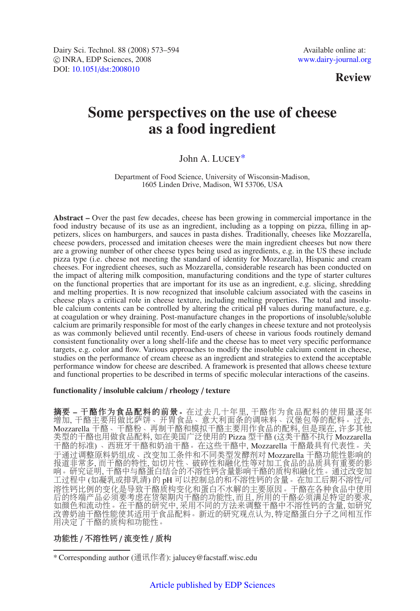# **Review**

# **Some perspectives on the use of cheese as a food ingredient**

# John A. Lucey\*

Department of Food Science, University of Wisconsin-Madison, 1605 Linden Drive, Madison, WI 53706, USA

**Abstract –** Over the past few decades, cheese has been growing in commercial importance in the food industry because of its use as an ingredient, including as a topping on pizza, filling in appetizers, slices on hamburgers, and sauces in pasta dishes. Traditionally, cheeses like Mozzarella, cheese powders, processed and imitation cheeses were the main ingredient cheeses but now there are a growing number of other cheese types being used as ingredients, e.g. in the US these include pizza type (i.e. cheese not meeting the standard of identity for Mozzarella), Hispanic and cream cheeses. For ingredient cheeses, such as Mozzarella, considerable research has been conducted on the impact of altering milk composition, manufacturing conditions and the type of starter cultures on the functional properties that are important for its use as an ingredient, e.g. slicing, shredding and melting properties. It is now recognized that insoluble calcium associated with the caseins in cheese plays a critical role in cheese texture, including melting properties. The total and insoluble calcium contents can be controlled by altering the critical pH values during manufacture, e.g. at coagulation or whey draining. Post-manufacture changes in the proportions of insoluble/soluble calcium are primarily responsible for most of the early changes in cheese texture and not proteolysis as was commonly believed until recently. End-users of cheese in various foods routinely demand consistent functionality over a long shelf-life and the cheese has to meet very specific performance targets, e.g. color and flow. Various approaches to modify the insoluble calcium content in cheese, studies on the performance of cream cheese as an ingredient and strategies to extend the acceptable performance window for cheese are described. A framework is presented that allows cheese texture and functional properties to be described in terms of specific molecular interactions of the caseins.

#### **functionality** / **insoluble calcium** / **rheology** / **texture**

摘要 **–** 干酪作为食品配料的前景。在过去几十年里, 干酪作为食品配料的使用量逐年 增加, 干酪主要用做比萨饼、开胃食品、意大利面条的调味料、汉堡包等的配料。过去, Mozzarella 干酪、干酪粉、再制干酪和模拟干酪主要用作食品的配料, 但是现在, 许多其他 类型的干酪也用做食品配料, 如在美国广泛使用的 Pizza 型干酪 (这类干酪不执行 Mozzarella 干酪的标准) 、西班牙干酪和奶油干酪。在这些干酪中, Mozzarella 干酪最具有代表性。关 于通过调整原料奶组成、改变加工条件和不同类型发酵剂对 Mozzarella 干酪功能性影响的 报道非常多, 而干酪的特性, 如切片性、破碎性和融化性等对加工食品的品质具有重要的影 响。研究证明, 干酪中与酪蛋白结合的不溶性钙含量影响干酪的质构和融化性。通过改变加 工过程中 (如凝乳或排乳清) 的 pH 可以控制总的和不溶性钙的含量。在加工后期不溶性/可 溶性钙比例的变化是导致干酪质构变化和蛋白不水解的主要原因。干酪在各种食品中使用 后的终端产品必须要考虑在货架期内干酪的功能性, 而且, 所用的干酪必须满足特定的要求, 如颜色和流动性。在干酪的研究中, 采用不同的方法来调整干酪中不溶性钙的含量, 如研究 改善奶油干酪性能使其适用于食品配料。新近的研究观点认为, 特定酪蛋白分子之间相互作 用决定了干酪的质构和功能性。

# 功能性 / 不溶性钙 / 流变性 / 质构

<sup>\*</sup> Corresponding author (通讯作者): jalucey@facstaff.wisc.edu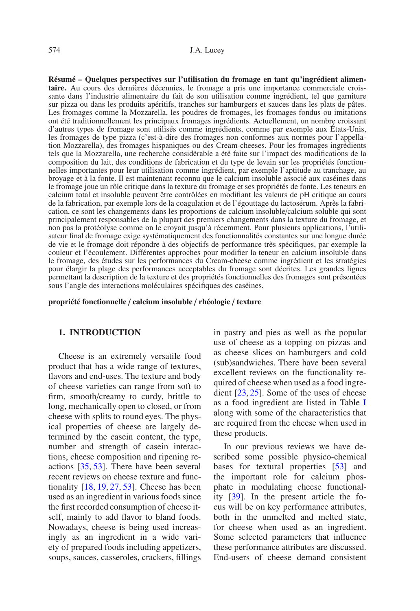#### 574 J.A. Lucey

**Résumé – Quelques perspectives sur l'utilisation du fromage en tant qu'ingrédient alimentaire.** Au cours des dernières décennies, le fromage a pris une importance commerciale croissante dans l'industrie alimentaire du fait de son utilisation comme ingrédient, tel que garniture sur pizza ou dans les produits apéritifs, tranches sur hamburgers et sauces dans les plats de pâtes. Les fromages comme la Mozzarella, les poudres de fromages, les fromages fondus ou imitations ont été traditionnellement les principaux fromages ingrédients. Actuellement, un nombre croissant d'autres types de fromage sont utilisés comme ingrédients, comme par exemple aux États-Unis, les fromages de type pizza (c'est-à-dire des fromages non conformes aux normes pour l'appellation Mozzarella), des fromages hispaniques ou des Cream-cheeses. Pour les fromages ingrédients tels que la Mozzarella, une recherche considérable a été faite sur l'impact des modifications de la composition du lait, des conditions de fabrication et du type de levain sur les propriétés fonctionnelles importantes pour leur utilisation comme ingrédient, par exemple l'aptitude au tranchage, au broyage et à la fonte. Il est maintenant reconnu que le calcium insoluble associé aux caséines dans le fromage joue un rôle critique dans la texture du fromage et ses propriétés de fonte. Les teneurs en calcium total et insoluble peuvent être contrôlées en modifiant les valeurs de pH critique au cours de la fabrication, par exemple lors de la coagulation et de l'égouttage du lactosérum. Après la fabrication, ce sont les changements dans les proportions de calcium insoluble/calcium soluble qui sont principalement responsables de la plupart des premiers changements dans la texture du fromage, et non pas la protéolyse comme on le croyait jusqu'à récemment. Pour plusieurs applications, l'utilisateur final de fromage exige systématiquement des fonctionnalités constantes sur une longue durée de vie et le fromage doit répondre à des objectifs de performance très spécifiques, par exemple la couleur et l'écoulement. Différentes approches pour modifier la teneur en calcium insoluble dans le fromage, des études sur les performances du Cream-cheese comme ingrédient et les stratégies pour élargir la plage des performances acceptables du fromage sont décrites. Les grandes lignes permettant la description de la texture et des propriétés fonctionnelles des fromages sont présentées sous l'angle des interactions moléculaires spécifiques des caséines.

**propriété fonctionnelle** / **calcium insoluble** / **rhéologie** / **texture**

# **1. INTRODUCTION**

Cheese is an extremely versatile food product that has a wide range of textures, flavors and end-uses. The texture and body of cheese varieties can range from soft to firm, smooth/creamy to curdy, brittle to long, mechanically open to closed, or from cheese with splits to round eyes. The physical properties of cheese are largely determined by the casein content, the type, number and strength of casein interactions, cheese composition and ripening reactions [\[35](#page-19-0), [53\]](#page-20-0). There have been several recent reviews on cheese texture and functionality  $[18, 19, 27, 53]$  $[18, 19, 27, 53]$  $[18, 19, 27, 53]$  $[18, 19, 27, 53]$  $[18, 19, 27, 53]$  $[18, 19, 27, 53]$  $[18, 19, 27, 53]$ . Cheese has been used as an ingredient in various foods since the first recorded consumption of cheese itself, mainly to add flavor to bland foods. Nowadays, cheese is being used increasingly as an ingredient in a wide variety of prepared foods including appetizers, soups, sauces, casseroles, crackers, fillings in pastry and pies as well as the popular use of cheese as a topping on pizzas and as cheese slices on hamburgers and cold (sub)sandwiches. There have been several excellent reviews on the functionality required of cheese when used as a food ingredient [\[23,](#page-19-4) [25\]](#page-19-5). Some of the uses of cheese as a food ingredient are listed in Table [I](#page-2-0) along with some of the characteristics that are required from the cheese when used in these products.

In our previous reviews we have described some possible physico-chemical bases for textural properties [\[53\]](#page-20-0) and the important role for calcium phosphate in modulating cheese functionality [\[39\]](#page-19-6). In the present article the focus will be on key performance attributes, both in the unmelted and melted state, for cheese when used as an ingredient. Some selected parameters that influence these performance attributes are discussed. End-users of cheese demand consistent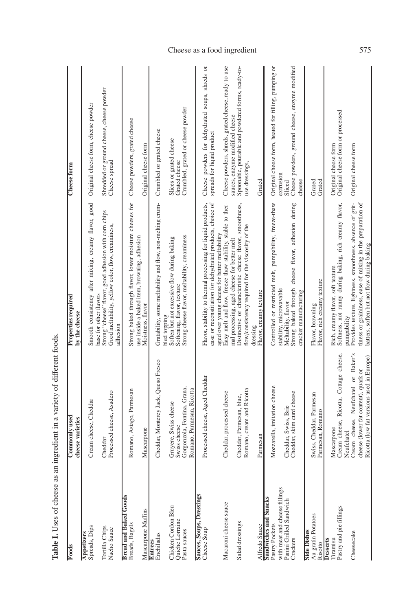| Foods                                                                | Commonly used                                                                                                                          | <b>Properties required</b>                                                                                                                                                           | Cheese form                                                                           |
|----------------------------------------------------------------------|----------------------------------------------------------------------------------------------------------------------------------------|--------------------------------------------------------------------------------------------------------------------------------------------------------------------------------------|---------------------------------------------------------------------------------------|
|                                                                      | cheese varieties                                                                                                                       | by the cheese                                                                                                                                                                        |                                                                                       |
| Spreads, Dips<br>Appetizers                                          | Cream cheese, Cheddar                                                                                                                  | Smooth consistency after mixing, creamy flavor, good                                                                                                                                 | Original cheese form, cheese powder                                                   |
| Tortilla Chips<br>Nacho Sauce                                        | Processed cheese, Asadero<br>Cheddar                                                                                                   | Strong "cheese" flavor, good adhesion with corn chips<br>Good meltability, yellow color, flow, creaminess,<br>base for other flavors<br>adhesion                                     | Shredded or ground cheese, cheese powder<br>Cheese spread                             |
| <b>Bread and Baked Goods</b><br>Breads, Bagels                       | Romano, Asiago, Parmesan                                                                                                               | Strong baked through flavor, lower moisture cheeses for                                                                                                                              | Cheese powders, grated cheese                                                         |
| Mascarpone Muffins                                                   | Mascarpone                                                                                                                             | use inside a baked item, browning, adhesion<br>Moistness, flavor                                                                                                                     | Original cheese form                                                                  |
| Enchiladas<br>Entrees                                                | Cheddar, Monterey Jack, Queso Fresco                                                                                                   | Gratability, some meltability and flow, non-melting crum-                                                                                                                            | Crumbled or grated cheese                                                             |
| Chicken Cordon Bleu<br>Quiche Lorraine<br>Pasta sauces               | Gorgonzola, Fontina, Grana,<br>Romano, Parmesan, Ricotta<br>Gruyere, Swiss cheese<br>Swiss cheese                                      | Strong cheese flavor, meltability, creaminess<br>Soften but not excessive flow during baking<br>Softening, flavor, texture<br>bled topping                                           | Crumbled, grated or cheese powder<br>Slices or grated cheese<br>Grated cheese         |
| <b>Sauces, Soups, Dressings</b><br>Cheese Soup                       | Processed cheese, Aged Cheddar                                                                                                         | ease or reconstitution for dehydrated products, choice of<br>Flavor, stability to thermal processing for liquid products,                                                            | Cheese powders for dehydrated soups, shreds or<br>spreads for liquid product          |
| Macaroni cheese sauce                                                | Cheddar, processed cheese                                                                                                              | aged over young cheese for better meltability<br>Easy melt and flow, freeze-thaw stability, stable to ther-<br>mal processing, aged cheese for better melt                           | Cheese powders, shreds, grated cheese, ready-to-use<br>sauces, enzyme modified cheese |
| Salad dressings                                                      | Romano, cream and Ricotta<br>Cheddar, Parmesan, blue,                                                                                  | Distinctive or characteristic cheese flavor, smoothness,<br>flow/consistency required for the viscosity of the                                                                       | Spoonable, pourable and powdered forms, ready-to-<br>ase dressings,                   |
| Alfredo Sauce                                                        | Parmesan                                                                                                                               | Flavor, creamy texture<br>dressing                                                                                                                                                   | Grated                                                                                |
| Sandwiches and Snacks<br>Pastry Pockets                              | Mozzarella, imitation cheese                                                                                                           | Controlled or restricted melt, pumpability, freeze-thaw                                                                                                                              | Original cheese form, heated for filling, pumping or                                  |
| with meat and cheese fillings<br>Panini Grilled Sandwich<br>Crackers | Cheddar, skim curd cheese<br>Cheddar, Swiss, Brie                                                                                      | Strong baked through cheese flavor, adhesion during<br>stability, microwavable<br>cracker manufacturing<br>Meltability, flavor                                                       | Cheese powders, ground cheese, enzyme modified<br>extrusion<br>cheese<br>Sliced       |
| Au gratin Potatoes<br><b>Side Dishes</b><br>Risotto                  | Swiss, Cheddar, Parmesan<br>Parmesan, Romano                                                                                           | Flavor, rich creamy texture<br>Flavor, browning                                                                                                                                      | Grated<br>Grated                                                                      |
| Pastry and pie fillings<br><b>Desserts</b><br>Firamisu               | Cream cheese, Ricotta, Cottage cheese,<br>Mascarpone                                                                                   | Softness, not runny during baking, rich creamy flavor,<br>Rich, creamy flavor, soft texture                                                                                          | Original cheese form or processed<br>Original cheese form                             |
| Cheesecake                                                           | Cream cheese, Neufchatel or Baker's<br>Ricotta (low fat versions used in Europe)<br>cheese (lower fat content), quark or<br>Neufchatel | Provides texture, lightness, smoothness, absence of grit-<br>tiness or graininess, ease of mixing in the preparation of<br>batters, soften but not flow during baking<br>pumpability | Original cheese form                                                                  |

<span id="page-2-0"></span>Table I. Uses of cheese as an ingredient in a variety of different foods. fferent foods. **Table I.** Uses of cheese as an ingredient in a variety of di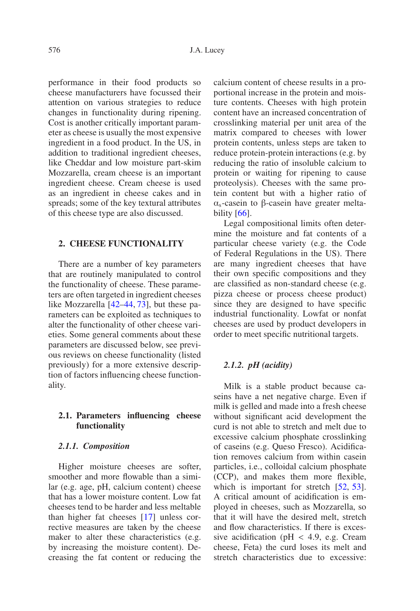performance in their food products so cheese manufacturers have focussed their attention on various strategies to reduce changes in functionality during ripening. Cost is another critically important parameter as cheese is usually the most expensive ingredient in a food product. In the US, in addition to traditional ingredient cheeses, like Cheddar and low moisture part-skim Mozzarella, cream cheese is an important ingredient cheese. Cream cheese is used as an ingredient in cheese cakes and in spreads; some of the key textural attributes of this cheese type are also discussed.

#### **2. CHEESE FUNCTIONALITY**

There are a number of key parameters that are routinely manipulated to control the functionality of cheese. These parameters are often targeted in ingredient cheeses like Mozzarella [\[42](#page-20-1)[–44](#page-20-2), [73\]](#page-21-0), but these parameters can be exploited as techniques to alter the functionality of other cheese varieties. Some general comments about these parameters are discussed below, see previous reviews on cheese functionality (listed previously) for a more extensive description of factors influencing cheese functionality.

# **2.1. Parameters influencing cheese functionality**

#### *2.1.1. Composition*

Higher moisture cheeses are softer, smoother and more flowable than a similar (e.g. age, pH, calcium content) cheese that has a lower moisture content. Low fat cheeses tend to be harder and less meltable than higher fat cheeses [\[17](#page-19-7)] unless corrective measures are taken by the cheese maker to alter these characteristics (e.g. by increasing the moisture content). Decreasing the fat content or reducing the calcium content of cheese results in a proportional increase in the protein and moisture contents. Cheeses with high protein content have an increased concentration of crosslinking material per unit area of the matrix compared to cheeses with lower protein contents, unless steps are taken to reduce protein-protein interactions (e.g. by reducing the ratio of insoluble calcium to protein or waiting for ripening to cause proteolysis). Cheeses with the same protein content but with a higher ratio of αs-casein to β-casein have greater melta-bility [\[66\]](#page-21-1).

Legal compositional limits often determine the moisture and fat contents of a particular cheese variety (e.g. the Code of Federal Regulations in the US). There are many ingredient cheeses that have their own specific compositions and they are classified as non-standard cheese (e.g. pizza cheese or process cheese product) since they are designed to have specific industrial functionality. Lowfat or nonfat cheeses are used by product developers in order to meet specific nutritional targets.

## *2.1.2. pH (acidity)*

Milk is a stable product because caseins have a net negative charge. Even if milk is gelled and made into a fresh cheese without significant acid development the curd is not able to stretch and melt due to excessive calcium phosphate crosslinking of caseins (e.g. Queso Fresco). Acidification removes calcium from within casein particles, i.e., colloidal calcium phosphate (CCP), and makes them more flexible, which is important for stretch [\[52,](#page-20-3) [53](#page-20-0)]. A critical amount of acidification is employed in cheeses, such as Mozzarella, so that it will have the desired melt, stretch and flow characteristics. If there is excessive acidification ( $pH < 4.9$ , e.g. Cream cheese, Feta) the curd loses its melt and stretch characteristics due to excessive: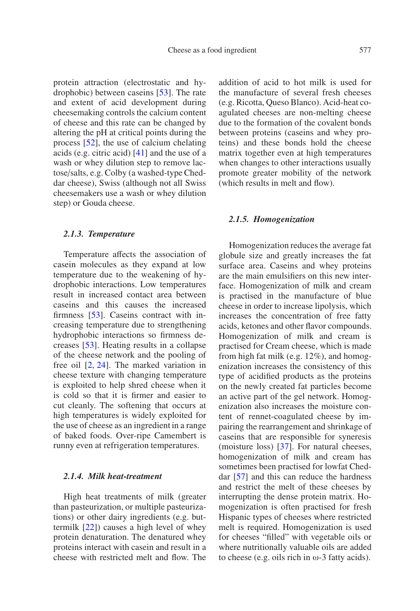protein attraction (electrostatic and hydrophobic) between caseins [\[53\]](#page-20-0). The rate and extent of acid development during cheesemaking controls the calcium content of cheese and this rate can be changed by altering the pH at critical points during the process [\[52\]](#page-20-3), the use of calcium chelating acids (e.g. citric acid) [\[41\]](#page-19-8) and the use of a wash or whey dilution step to remove lactose/salts, e.g. Colby (a washed-type Cheddar cheese), Swiss (although not all Swiss cheesemakers use a wash or whey dilution step) or Gouda cheese.

#### *2.1.3. Temperature*

Temperature affects the association of casein molecules as they expand at low temperature due to the weakening of hydrophobic interactions. Low temperatures result in increased contact area between caseins and this causes the increased firmness [\[53\]](#page-20-0). Caseins contract with increasing temperature due to strengthening hydrophobic interactions so firmness decreases [\[53\]](#page-20-0). Heating results in a collapse of the cheese network and the pooling of free oil [\[2,](#page-18-0) [24\]](#page-19-9). The marked variation in cheese texture with changing temperature is exploited to help shred cheese when it is cold so that it is firmer and easier to cut cleanly. The softening that occurs at high temperatures is widely exploited for the use of cheese as an ingredient in a range of baked foods. Over-ripe Camembert is runny even at refrigeration temperatures.

## *2.1.4. Milk heat-treatment*

High heat treatments of milk (greater than pasteurization, or multiple pasteurizations) or other dairy ingredients (e.g. buttermilk [\[22](#page-19-10)]) causes a high level of whey protein denaturation. The denatured whey proteins interact with casein and result in a cheese with restricted melt and flow. The addition of acid to hot milk is used for the manufacture of several fresh cheeses (e.g. Ricotta, Queso Blanco). Acid-heat coagulated cheeses are non-melting cheese due to the formation of the covalent bonds between proteins (caseins and whey proteins) and these bonds hold the cheese matrix together even at high temperatures when changes to other interactions usually promote greater mobility of the network (which results in melt and flow).

#### *2.1.5. Homogenization*

Homogenization reduces the average fat globule size and greatly increases the fat surface area. Caseins and whey proteins are the main emulsifiers on this new interface. Homogenization of milk and cream is practised in the manufacture of blue cheese in order to increase lipolysis, which increases the concentration of free fatty acids, ketones and other flavor compounds. Homogenization of milk and cream is practised for Cream cheese, which is made from high fat milk (e.g. 12%), and homogenization increases the consistency of this type of acidified products as the proteins on the newly created fat particles become an active part of the gel network. Homogenization also increases the moisture content of rennet-coagulated cheese by impairing the rearrangement and shrinkage of caseins that are responsible for syneresis (moisture loss) [\[37\]](#page-19-11). For natural cheeses, homogenization of milk and cream has sometimes been practised for lowfat Cheddar [\[57](#page-20-4)] and this can reduce the hardness and restrict the melt of these cheeses by interrupting the dense protein matrix. Homogenization is often practised for fresh Hispanic types of cheeses where restricted melt is required. Homogenization is used for cheeses "filled" with vegetable oils or where nutritionally valuable oils are added to cheese (e.g. oils rich in ω-3 fatty acids).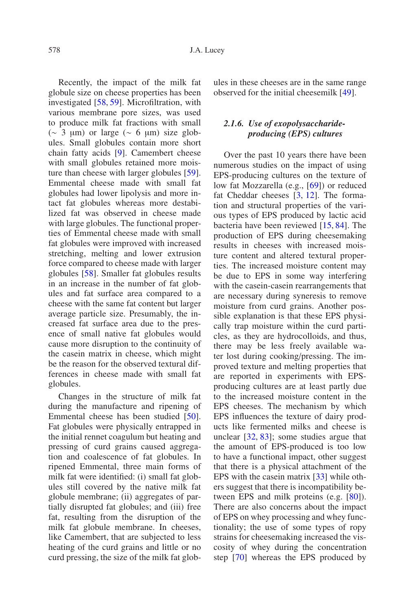Recently, the impact of the milk fat globule size on cheese properties has been investigated [\[58](#page-20-5), [59\]](#page-20-6). Microfiltration, with various membrane pore sizes, was used to produce milk fat fractions with small (∼ 3 μm) or large (∼ 6 μm) size globules. Small globules contain more short chain fatty acids [\[9\]](#page-18-1). Camembert cheese with small globules retained more moisture than cheese with larger globules [\[59](#page-20-6)]. Emmental cheese made with small fat globules had lower lipolysis and more intact fat globules whereas more destabilized fat was observed in cheese made with large globules. The functional properties of Emmental cheese made with small fat globules were improved with increased stretching, melting and lower extrusion force compared to cheese made with larger globules [\[58](#page-20-5)]. Smaller fat globules results in an increase in the number of fat globules and fat surface area compared to a cheese with the same fat content but larger average particle size. Presumably, the increased fat surface area due to the presence of small native fat globules would cause more disruption to the continuity of the casein matrix in cheese, which might be the reason for the observed textural differences in cheese made with small fat globules.

Changes in the structure of milk fat during the manufacture and ripening of Emmental cheese has been studied [\[50](#page-20-7)]. Fat globules were physically entrapped in the initial rennet coagulum but heating and pressing of curd grains caused aggregation and coalescence of fat globules. In ripened Emmental, three main forms of milk fat were identified: (i) small fat globules still covered by the native milk fat globule membrane; (ii) aggregates of partially disrupted fat globules; and (iii) free fat, resulting from the disruption of the milk fat globule membrane. In cheeses, like Camembert, that are subjected to less heating of the curd grains and little or no curd pressing, the size of the milk fat globules in these cheeses are in the same range observed for the initial cheesemilk [\[49\]](#page-20-8).

# *2.1.6. Use of exopolysaccharideproducing (EPS) cultures*

Over the past 10 years there have been numerous studies on the impact of using EPS-producing cultures on the texture of low fat Mozzarella (e.g., [\[69\]](#page-21-2)) or reduced fat Cheddar cheeses [\[3](#page-18-2), [12\]](#page-18-3). The formation and structural properties of the various types of EPS produced by lactic acid bacteria have been reviewed [\[15](#page-18-4), [84\]](#page-21-3). The production of EPS during cheesemaking results in cheeses with increased moisture content and altered textural properties. The increased moisture content may be due to EPS in some way interfering with the casein-casein rearrangements that are necessary during syneresis to remove moisture from curd grains. Another possible explanation is that these EPS physically trap moisture within the curd particles, as they are hydrocolloids, and thus, there may be less freely available water lost during cooking/pressing. The improved texture and melting properties that are reported in experiments with EPSproducing cultures are at least partly due to the increased moisture content in the EPS cheeses. The mechanism by which EPS influences the texture of dairy products like fermented milks and cheese is unclear [\[32,](#page-19-12) [83\]](#page-21-4); some studies argue that the amount of EPS-produced is too low to have a functional impact, other suggest that there is a physical attachment of the EPS with the casein matrix [\[33\]](#page-19-13) while others suggest that there is incompatibility between EPS and milk proteins (e.g. [\[80](#page-21-5)]). There are also concerns about the impact of EPS on whey processing and whey functionality; the use of some types of ropy strains for cheesemaking increased the viscosity of whey during the concentration step [\[70](#page-21-6)] whereas the EPS produced by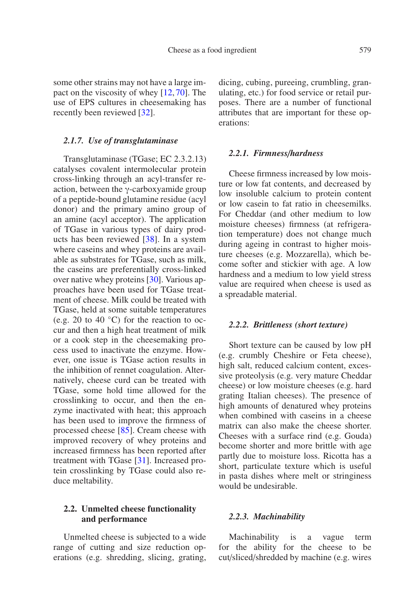some other strains may not have a large impact on the viscosity of whey [\[12,](#page-18-3) [70\]](#page-21-6). The use of EPS cultures in cheesemaking has recently been reviewed [\[32](#page-19-12)].

#### *2.1.7. Use of transglutaminase*

Transglutaminase (TGase; EC 2.3.2.13) catalyses covalent intermolecular protein cross-linking through an acyl-transfer reaction, between the γ-carboxyamide group of a peptide-bound glutamine residue (acyl donor) and the primary amino group of an amine (acyl acceptor). The application of TGase in various types of dairy products has been reviewed [\[38](#page-19-14)]. In a system where caseins and whey proteins are available as substrates for TGase, such as milk, the caseins are preferentially cross-linked over native whey proteins [\[30\]](#page-19-15). Various approaches have been used for TGase treatment of cheese. Milk could be treated with TGase, held at some suitable temperatures (e.g. 20 to 40  $\degree$ C) for the reaction to occur and then a high heat treatment of milk or a cook step in the cheesemaking process used to inactivate the enzyme. However, one issue is TGase action results in the inhibition of rennet coagulation. Alternatively, cheese curd can be treated with TGase, some hold time allowed for the crosslinking to occur, and then the enzyme inactivated with heat; this approach has been used to improve the firmness of processed cheese [\[85](#page-21-7)]. Cream cheese with improved recovery of whey proteins and increased firmness has been reported after treatment with TGase [\[31](#page-19-16)]. Increased protein crosslinking by TGase could also reduce meltability.

#### **2.2. Unmelted cheese functionality and performance**

Unmelted cheese is subjected to a wide range of cutting and size reduction operations (e.g. shredding, slicing, grating, dicing, cubing, pureeing, crumbling, granulating, etc.) for food service or retail purposes. There are a number of functional attributes that are important for these operations:

#### *2.2.1. Firmness*/*hardness*

Cheese firmness increased by low moisture or low fat contents, and decreased by low insoluble calcium to protein content or low casein to fat ratio in cheesemilks. For Cheddar (and other medium to low moisture cheeses) firmness (at refrigeration temperature) does not change much during ageing in contrast to higher moisture cheeses (e.g. Mozzarella), which become softer and stickier with age. A low hardness and a medium to low yield stress value are required when cheese is used as a spreadable material.

#### *2.2.2. Brittleness (short texture)*

Short texture can be caused by low pH (e.g. crumbly Cheshire or Feta cheese), high salt, reduced calcium content, excessive proteolysis (e.g. very mature Cheddar cheese) or low moisture cheeses (e.g. hard grating Italian cheeses). The presence of high amounts of denatured whey proteins when combined with caseins in a cheese matrix can also make the cheese shorter. Cheeses with a surface rind (e.g. Gouda) become shorter and more brittle with age partly due to moisture loss. Ricotta has a short, particulate texture which is useful in pasta dishes where melt or stringiness would be undesirable.

#### *2.2.3. Machinability*

Machinability is a vague term for the ability for the cheese to be cut/sliced/shredded by machine (e.g. wires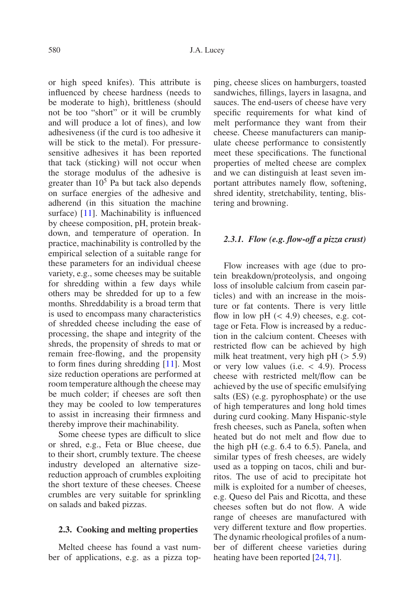or high speed knifes). This attribute is influenced by cheese hardness (needs to be moderate to high), brittleness (should not be too "short" or it will be crumbly and will produce a lot of fines), and low adhesiveness (if the curd is too adhesive it will be stick to the metal). For pressuresensitive adhesives it has been reported that tack (sticking) will not occur when the storage modulus of the adhesive is greater than  $10<sup>5</sup>$  Pa but tack also depends on surface energies of the adhesive and adherend (in this situation the machine surface) [\[11\]](#page-18-5). Machinability is influenced by cheese composition, pH, protein breakdown, and temperature of operation. In practice, machinability is controlled by the empirical selection of a suitable range for these parameters for an individual cheese variety, e.g., some cheeses may be suitable for shredding within a few days while others may be shredded for up to a few months. Shreddability is a broad term that is used to encompass many characteristics of shredded cheese including the ease of processing, the shape and integrity of the shreds, the propensity of shreds to mat or remain free-flowing, and the propensity to form fines during shredding [\[11\]](#page-18-5). Most size reduction operations are performed at room temperature although the cheese may be much colder; if cheeses are soft then they may be cooled to low temperatures to assist in increasing their firmness and thereby improve their machinability.

Some cheese types are difficult to slice or shred, e.g., Feta or Blue cheese, due to their short, crumbly texture. The cheese industry developed an alternative sizereduction approach of crumbles exploiting the short texture of these cheeses. Cheese crumbles are very suitable for sprinkling on salads and baked pizzas.

#### **2.3. Cooking and melting properties**

Melted cheese has found a vast number of applications, e.g. as a pizza topping, cheese slices on hamburgers, toasted sandwiches, fillings, layers in lasagna, and sauces. The end-users of cheese have very specific requirements for what kind of melt performance they want from their cheese. Cheese manufacturers can manipulate cheese performance to consistently meet these specifications. The functional properties of melted cheese are complex and we can distinguish at least seven important attributes namely flow, softening, shred identity, stretchability, tenting, blistering and browning.

#### *2.3.1. Flow (e.g. flow-o*ff *a pizza crust)*

Flow increases with age (due to protein breakdown/proteolysis, and ongoing loss of insoluble calcium from casein particles) and with an increase in the moisture or fat contents. There is very little flow in low pH  $( $4.9$ ) cheeses, e.g. cot$ tage or Feta. Flow is increased by a reduction in the calcium content. Cheeses with restricted flow can be achieved by high milk heat treatment, very high  $pH$  ( $> 5.9$ ) or very low values (i.e.  $\langle 4.9 \rangle$ ). Process cheese with restricted melt/flow can be achieved by the use of specific emulsifying salts (ES) (e.g. pyrophosphate) or the use of high temperatures and long hold times during curd cooking. Many Hispanic-style fresh cheeses, such as Panela, soften when heated but do not melt and flow due to the high pH (e.g. 6.4 to 6.5). Panela, and similar types of fresh cheeses, are widely used as a topping on tacos, chili and burritos. The use of acid to precipitate hot milk is exploited for a number of cheeses, e.g. Queso del Pais and Ricotta, and these cheeses soften but do not flow. A wide range of cheeses are manufactured with very different texture and flow properties. The dynamic rheological profiles of a number of different cheese varieties during heating have been reported [\[24](#page-19-9), [71\]](#page-21-8).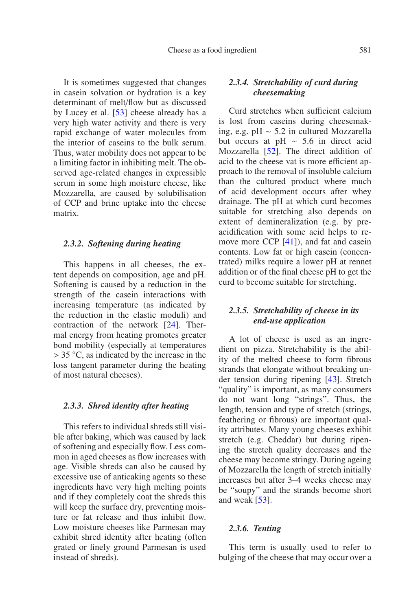It is sometimes suggested that changes in casein solvation or hydration is a key determinant of melt/flow but as discussed by Lucey et al. [\[53\]](#page-20-0) cheese already has a very high water activity and there is very rapid exchange of water molecules from the interior of caseins to the bulk serum. Thus, water mobility does not appear to be a limiting factor in inhibiting melt. The observed age-related changes in expressible serum in some high moisture cheese, like Mozzarella, are caused by solubilisation of CCP and brine uptake into the cheese matrix.

#### *2.3.2. Softening during heating*

This happens in all cheeses, the extent depends on composition, age and pH. Softening is caused by a reduction in the strength of the casein interactions with increasing temperature (as indicated by the reduction in the elastic moduli) and contraction of the network [\[24\]](#page-19-9). Thermal energy from heating promotes greater bond mobility (especially at temperatures > 35 °C, as indicated by the increase in the loss tangent parameter during the heating of most natural cheeses).

# *2.3.3. Shred identity after heating*

This refers to individual shreds still visible after baking, which was caused by lack of softening and especially flow. Less common in aged cheeses as flow increases with age. Visible shreds can also be caused by excessive use of anticaking agents so these ingredients have very high melting points and if they completely coat the shreds this will keep the surface dry, preventing moisture or fat release and thus inhibit flow. Low moisture cheeses like Parmesan may exhibit shred identity after heating (often grated or finely ground Parmesan is used instead of shreds).

# *2.3.4. Stretchability of curd during cheesemaking*

Curd stretches when sufficient calcium is lost from caseins during cheesemaking, e.g. pH ∼ 5.2 in cultured Mozzarella but occurs at pH ∼ 5.6 in direct acid Mozzarella [\[52](#page-20-3)]. The direct addition of acid to the cheese vat is more efficient approach to the removal of insoluble calcium than the cultured product where much of acid development occurs after whey drainage. The pH at which curd becomes suitable for stretching also depends on extent of demineralization (e.g. by preacidification with some acid helps to re-move more CCP [\[41\]](#page-19-8)), and fat and casein contents. Low fat or high casein (concentrated) milks require a lower pH at rennet addition or of the final cheese pH to get the curd to become suitable for stretching.

# *2.3.5. Stretchability of cheese in its end-use application*

A lot of cheese is used as an ingredient on pizza. Stretchability is the ability of the melted cheese to form fibrous strands that elongate without breaking under tension during ripening [\[43\]](#page-20-9). Stretch "quality" is important, as many consumers do not want long "strings". Thus, the length, tension and type of stretch (strings, feathering or fibrous) are important quality attributes. Many young cheeses exhibit stretch (e.g. Cheddar) but during ripening the stretch quality decreases and the cheese may become stringy. During ageing of Mozzarella the length of stretch initially increases but after 3–4 weeks cheese may be "soupy" and the strands become short and weak [\[53\]](#page-20-0).

# *2.3.6. Tenting*

This term is usually used to refer to bulging of the cheese that may occur over a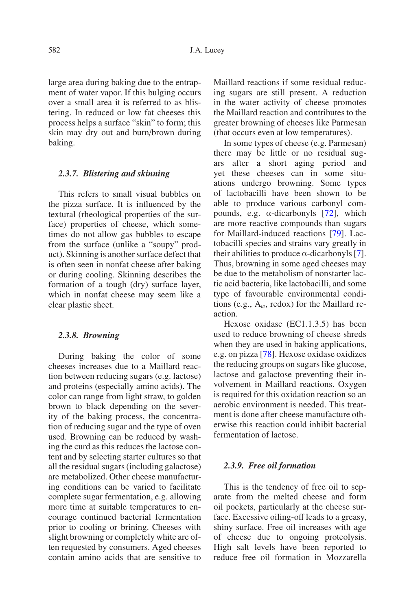large area during baking due to the entrapment of water vapor. If this bulging occurs over a small area it is referred to as blistering. In reduced or low fat cheeses this process helps a surface "skin" to form; this skin may dry out and burn/brown during baking.

# *2.3.7. Blistering and skinning*

This refers to small visual bubbles on the pizza surface. It is influenced by the textural (rheological properties of the surface) properties of cheese, which sometimes do not allow gas bubbles to escape from the surface (unlike a "soupy" product). Skinning is another surface defect that is often seen in nonfat cheese after baking or during cooling. Skinning describes the formation of a tough (dry) surface layer, which in nonfat cheese may seem like a clear plastic sheet.

#### *2.3.8. Browning*

During baking the color of some cheeses increases due to a Maillard reaction between reducing sugars (e.g. lactose) and proteins (especially amino acids). The color can range from light straw, to golden brown to black depending on the severity of the baking process, the concentration of reducing sugar and the type of oven used. Browning can be reduced by washing the curd as this reduces the lactose content and by selecting starter cultures so that all the residual sugars (including galactose) are metabolized. Other cheese manufacturing conditions can be varied to facilitate complete sugar fermentation, e.g. allowing more time at suitable temperatures to encourage continued bacterial fermentation prior to cooling or brining. Cheeses with slight browning or completely white are often requested by consumers. Aged cheeses contain amino acids that are sensitive to Maillard reactions if some residual reducing sugars are still present. A reduction in the water activity of cheese promotes the Maillard reaction and contributes to the greater browning of cheeses like Parmesan (that occurs even at low temperatures).

In some types of cheese (e.g. Parmesan) there may be little or no residual sugars after a short aging period and yet these cheeses can in some situations undergo browning. Some types of lactobacilli have been shown to be able to produce various carbonyl compounds, e.g.  $α$ -dicarbonyls [\[72\]](#page-21-9), which are more reactive compounds than sugars for Maillard-induced reactions [\[79](#page-21-10)]. Lactobacilli species and strains vary greatly in their abilities to produce  $\alpha$ -dicarbonyls [\[7](#page-18-6)]. Thus, browning in some aged cheeses may be due to the metabolism of nonstarter lactic acid bacteria, like lactobacilli, and some type of favourable environmental conditions (e.g.,  $A_w$ , redox) for the Maillard reaction.

Hexose oxidase (EC1.1.3.5) has been used to reduce browning of cheese shreds when they are used in baking applications, e.g. on pizza [\[78\]](#page-21-11). Hexose oxidase oxidizes the reducing groups on sugars like glucose, lactose and galactose preventing their involvement in Maillard reactions. Oxygen is required for this oxidation reaction so an aerobic environment is needed. This treatment is done after cheese manufacture otherwise this reaction could inhibit bacterial fermentation of lactose.

#### *2.3.9. Free oil formation*

This is the tendency of free oil to separate from the melted cheese and form oil pockets, particularly at the cheese surface. Excessive oiling-off leads to a greasy, shiny surface. Free oil increases with age of cheese due to ongoing proteolysis. High salt levels have been reported to reduce free oil formation in Mozzarella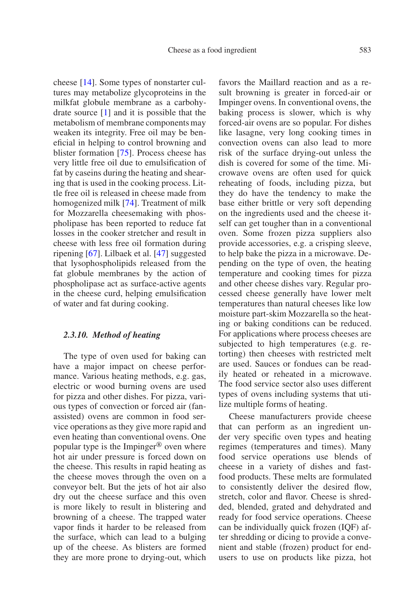cheese [\[14](#page-18-7)]. Some types of nonstarter cultures may metabolize glycoproteins in the milkfat globule membrane as a carbohydrate source [\[1](#page-18-8)] and it is possible that the metabolism of membrane components may weaken its integrity. Free oil may be beneficial in helping to control browning and blister formation [\[75\]](#page-21-12). Process cheese has very little free oil due to emulsification of fat by caseins during the heating and shearing that is used in the cooking process. Little free oil is released in cheese made from homogenized milk [\[74\]](#page-21-13). Treatment of milk for Mozzarella cheesemaking with phospholipase has been reported to reduce fat losses in the cooker stretcher and result in cheese with less free oil formation during ripening [\[67\]](#page-21-14). Lilbaek et al. [\[47\]](#page-20-10) suggested that lysophospholipids released from the fat globule membranes by the action of phospholipase act as surface-active agents in the cheese curd, helping emulsification of water and fat during cooking.

#### *2.3.10. Method of heating*

The type of oven used for baking can have a major impact on cheese performance. Various heating methods, e.g. gas, electric or wood burning ovens are used for pizza and other dishes. For pizza, various types of convection or forced air (fanassisted) ovens are common in food service operations as they give more rapid and even heating than conventional ovens. One popular type is the Impinger® oven where hot air under pressure is forced down on the cheese. This results in rapid heating as the cheese moves through the oven on a conveyor belt. But the jets of hot air also dry out the cheese surface and this oven is more likely to result in blistering and browning of a cheese. The trapped water vapor finds it harder to be released from the surface, which can lead to a bulging up of the cheese. As blisters are formed they are more prone to drying-out, which favors the Maillard reaction and as a result browning is greater in forced-air or Impinger ovens. In conventional ovens, the baking process is slower, which is why forced-air ovens are so popular. For dishes like lasagne, very long cooking times in convection ovens can also lead to more risk of the surface drying-out unless the dish is covered for some of the time. Microwave ovens are often used for quick reheating of foods, including pizza, but they do have the tendency to make the base either brittle or very soft depending on the ingredients used and the cheese itself can get tougher than in a conventional oven. Some frozen pizza suppliers also provide accessories, e.g. a crisping sleeve, to help bake the pizza in a microwave. Depending on the type of oven, the heating temperature and cooking times for pizza and other cheese dishes vary. Regular processed cheese generally have lower melt temperatures than natural cheeses like low moisture part-skim Mozzarella so the heating or baking conditions can be reduced. For applications where process cheeses are subjected to high temperatures (e.g. retorting) then cheeses with restricted melt are used. Sauces or fondues can be readily heated or reheated in a microwave. The food service sector also uses different types of ovens including systems that utilize multiple forms of heating.

Cheese manufacturers provide cheese that can perform as an ingredient under very specific oven types and heating regimes (temperatures and times). Many food service operations use blends of cheese in a variety of dishes and fastfood products. These melts are formulated to consistently deliver the desired flow, stretch, color and flavor. Cheese is shredded, blended, grated and dehydrated and ready for food service operations. Cheese can be individually quick frozen (IQF) after shredding or dicing to provide a convenient and stable (frozen) product for endusers to use on products like pizza, hot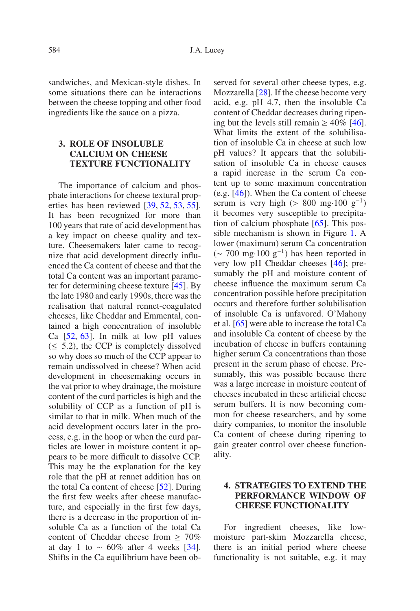sandwiches, and Mexican-style dishes. In some situations there can be interactions between the cheese topping and other food ingredients like the sauce on a pizza.

# **3. ROLE OF INSOLUBLE CALCIUM ON CHEESE TEXTURE FUNCTIONALITY**

The importance of calcium and phosphate interactions for cheese textural properties has been reviewed  $\left[39, 52, 53, 55\right]$  $\left[39, 52, 53, 55\right]$  $\left[39, 52, 53, 55\right]$  $\left[39, 52, 53, 55\right]$  $\left[39, 52, 53, 55\right]$  $\left[39, 52, 53, 55\right]$  $\left[39, 52, 53, 55\right]$  $\left[39, 52, 53, 55\right]$  $\left[39, 52, 53, 55\right]$ . It has been recognized for more than 100 years that rate of acid development has a key impact on cheese quality and texture. Cheesemakers later came to recognize that acid development directly influenced the Ca content of cheese and that the total Ca content was an important parameter for determining cheese texture [\[45\]](#page-20-12). By the late 1980 and early 1990s, there was the realisation that natural rennet-coagulated cheeses, like Cheddar and Emmental, contained a high concentration of insoluble Ca [\[52,](#page-20-3) [63\]](#page-20-13). In milk at low pH values  $(\leq 5.2)$ , the CCP is completely dissolved so why does so much of the CCP appear to remain undissolved in cheese? When acid development in cheesemaking occurs in the vat prior to whey drainage, the moisture content of the curd particles is high and the solubility of CCP as a function of pH is similar to that in milk. When much of the acid development occurs later in the process, e.g. in the hoop or when the curd particles are lower in moisture content it appears to be more difficult to dissolve CCP. This may be the explanation for the key role that the pH at rennet addition has on the total Ca content of cheese [\[52\]](#page-20-3). During the first few weeks after cheese manufacture, and especially in the first few days, there is a decrease in the proportion of insoluble Ca as a function of the total Ca content of Cheddar cheese from ≥ 70% at day 1 to  $\sim 60\%$  after 4 weeks [\[34](#page-19-17)]. Shifts in the Ca equilibrium have been observed for several other cheese types, e.g. Mozzarella [\[28](#page-19-18)]. If the cheese become very acid, e.g. pH 4.7, then the insoluble Ca content of Cheddar decreases during ripening but the levels still remain  $> 40\%$  [\[46\]](#page-20-14). What limits the extent of the solubilisation of insoluble Ca in cheese at such low pH values? It appears that the solubilisation of insoluble Ca in cheese causes a rapid increase in the serum Ca content up to some maximum concentration (e.g. [\[46\]](#page-20-14)). When the Ca content of cheese serum is very high (> 800 mg·100 g<sup>-1</sup>) it becomes very susceptible to precipitation of calcium phosphate [\[65\]](#page-20-15). This possible mechanism is shown in Figure [1.](#page-12-0) A lower (maximum) serum Ca concentration  $({\sim} 700 \text{ mg}\cdot 100 \text{ g}^{-1})$  has been reported in very low pH Cheddar cheeses [\[46\]](#page-20-14); presumably the pH and moisture content of cheese influence the maximum serum Ca concentration possible before precipitation occurs and therefore further solubilisation of insoluble Ca is unfavored. O'Mahony et al. [\[65\]](#page-20-15) were able to increase the total Ca and insoluble Ca content of cheese by the incubation of cheese in buffers containing higher serum Ca concentrations than those present in the serum phase of cheese. Presumably, this was possible because there was a large increase in moisture content of cheeses incubated in these artificial cheese serum buffers. It is now becoming common for cheese researchers, and by some dairy companies, to monitor the insoluble Ca content of cheese during ripening to gain greater control over cheese functionality.

# **4. STRATEGIES TO EXTEND THE PERFORMANCE WINDOW OF CHEESE FUNCTIONALITY**

For ingredient cheeses, like lowmoisture part-skim Mozzarella cheese, there is an initial period where cheese functionality is not suitable, e.g. it may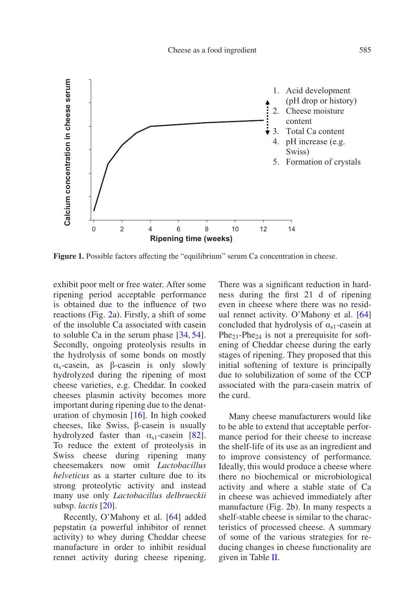<span id="page-12-0"></span>

Figure 1. Possible factors affecting the "equilibrium" serum Ca concentration in cheese.

exhibit poor melt or free water. After some ripening period acceptable performance is obtained due to the influence of two reactions (Fig. [2a](#page-13-0)). Firstly, a shift of some of the insoluble Ca associated with casein to soluble Ca in the serum phase [\[34,](#page-19-17) [54\]](#page-20-16). Secondly, ongoing proteolysis results in the hydrolysis of some bonds on mostly αs-casein, as β-casein is only slowly hydrolyzed during the ripening of most cheese varieties, e.g. Cheddar. In cooked cheeses plasmin activity becomes more important during ripening due to the denaturation of chymosin  $[16]$ . In high cooked cheeses, like Swiss, β-casein is usually hydrolyzed faster than  $\alpha_{s1}$ -casein [\[82\]](#page-21-15). To reduce the extent of proteolysis in Swiss cheese during ripening many cheesemakers now omit *Lactobacillus helveticus* as a starter culture due to its strong proteolytic activity and instead many use only *Lactobacillus delbrueckii* subsp. *lactis* [\[20\]](#page-19-20).

Recently, O'Mahony et al. [\[64](#page-20-17)] added pepstatin (a powerful inhibitor of rennet activity) to whey during Cheddar cheese manufacture in order to inhibit residual rennet activity during cheese ripening. There was a significant reduction in hardness during the first 21 d of ripening even in cheese where there was no residual rennet activity. O'Mahony et al. [\[64\]](#page-20-17) concluded that hydrolysis of  $\alpha_{s1}$ -casein at Phe<sub>23</sub>-Phe<sub>24</sub> is not a prerequisite for softening of Cheddar cheese during the early stages of ripening. They proposed that this initial softening of texture is principally due to solubilization of some of the CCP associated with the para-casein matrix of the curd.

Many cheese manufacturers would like to be able to extend that acceptable performance period for their cheese to increase the shelf-life of its use as an ingredient and to improve consistency of performance. Ideally, this would produce a cheese where there no biochemical or microbiological activity and where a stable state of Ca in cheese was achieved immediately after manufacture (Fig. [2b](#page-13-0)). In many respects a shelf-stable cheese is similar to the characteristics of processed cheese. A summary of some of the various strategies for reducing changes in cheese functionality are given in Table [II.](#page-14-0)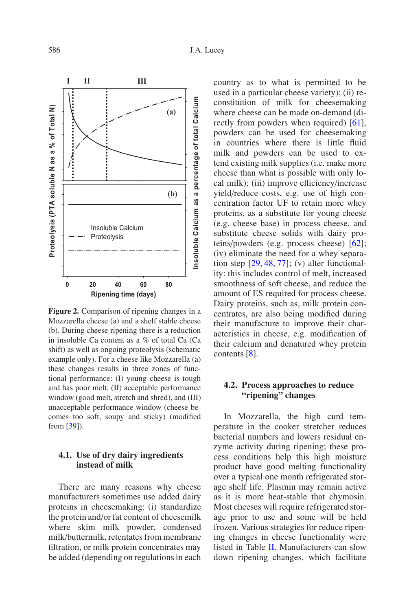<span id="page-13-0"></span>

**Figure 2.** Comparison of ripening changes in a Mozzarella cheese (a) and a shelf stable cheese (b). During cheese ripening there is a reduction in insoluble Ca content as a % of total Ca (Ca shift) as well as ongoing proteolysis (schematic example only). For a cheese like Mozzarella (a) these changes results in three zones of functional performance: (I) young cheese is tough and has poor melt, (II) acceptable performance window (good melt, stretch and shred), and (III) unacceptable performance window (cheese becomes too soft, soupy and sticky) (modified from [\[39](#page-19-6)]).

# **4.1. Use of dry dairy ingredients instead of milk**

There are many reasons why cheese manufacturers sometimes use added dairy proteins in cheesemaking: (i) standardize the protein and/or fat content of cheesemilk where skim milk powder, condensed milk/buttermilk, retentates from membrane filtration, or milk protein concentrates may be added (depending on regulations in each country as to what is permitted to be used in a particular cheese variety); (ii) reconstitution of milk for cheesemaking where cheese can be made on-demand (directly from powders when required) [\[61\]](#page-20-18), powders can be used for cheesemaking in countries where there is little fluid milk and powders can be used to extend existing milk supplies (i.e. make more cheese than what is possible with only local milk); (iii) improve efficiency/increase yield/reduce costs, e.g. use of high concentration factor UF to retain more whey proteins, as a substitute for young cheese (e.g. cheese base) in process cheese, and substitute cheese solids with dairy proteins/powders (e.g. process cheese) [\[62](#page-20-19)]; (iv) eliminate the need for a whey separation step  $[29, 48, 77]$  $[29, 48, 77]$  $[29, 48, 77]$  $[29, 48, 77]$  $[29, 48, 77]$ ; (v) alter functionality: this includes control of melt, increased smoothness of soft cheese, and reduce the amount of ES required for process cheese. Dairy proteins, such as, milk protein concentrates, are also being modified during their manufacture to improve their characteristics in cheese, e.g. modification of their calcium and denatured whey protein contents [\[8](#page-18-9)].

# **4.2. Process approaches to reduce "ripening" changes**

In Mozzarella, the high curd temperature in the cooker stretcher reduces bacterial numbers and lowers residual enzyme activity during ripening; these process conditions help this high moisture product have good melting functionality over a typical one month refrigerated storage shelf life. Plasmin may remain active as it is more heat-stable that chymosin. Most cheeses will require refrigerated storage prior to use and some will be held frozen. Various strategies for reduce ripening changes in cheese functionality were listed in Table [II.](#page-14-0) Manufacturers can slow down ripening changes, which facilitate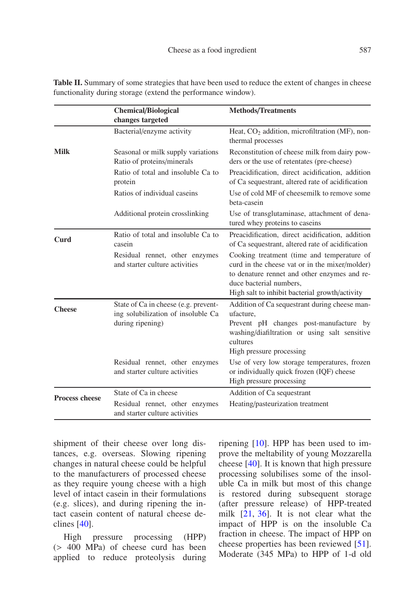|                       | <b>Chemical/Biological</b><br>changes targeted                                                 | <b>Methods/Treatments</b>                                                                                                                                                                                                 |
|-----------------------|------------------------------------------------------------------------------------------------|---------------------------------------------------------------------------------------------------------------------------------------------------------------------------------------------------------------------------|
|                       | Bacterial/enzyme activity                                                                      | Heat, $CO2$ addition, microfiltration (MF), non-<br>thermal processes                                                                                                                                                     |
| <b>Milk</b>           | Seasonal or milk supply variations<br>Ratio of proteins/minerals                               | Reconstitution of cheese milk from dairy pow-<br>ders or the use of retentates (pre-cheese)                                                                                                                               |
|                       | Ratio of total and insoluble Ca to<br>protein                                                  | Preacidification, direct acidification, addition<br>of Ca sequestrant, altered rate of acidification                                                                                                                      |
|                       | Ratios of individual caseins                                                                   | Use of cold MF of cheesemilk to remove some<br>beta-casein                                                                                                                                                                |
|                       | Additional protein crosslinking                                                                | Use of transglutaminase, attachment of dena-<br>tured whey proteins to caseins                                                                                                                                            |
| Curd                  | Ratio of total and insoluble Ca to<br>casein                                                   | Preacidification, direct acidification, addition<br>of Ca sequestrant, altered rate of acidification                                                                                                                      |
|                       | Residual rennet, other enzymes<br>and starter culture activities                               | Cooking treatment (time and temperature of<br>curd in the cheese vat or in the mixer/molder)<br>to denature rennet and other enzymes and re-<br>duce bacterial numbers,<br>High salt to inhibit bacterial growth/activity |
| <b>Cheese</b>         | State of Ca in cheese (e.g. prevent-<br>ing solubilization of insoluble Ca<br>during ripening) | Addition of Ca sequestrant during cheese man-<br>ufacture.<br>Prevent pH changes post-manufacture by<br>washing/diafiltration or using salt sensitive<br>cultures<br>High pressure processing                             |
|                       | Residual rennet, other enzymes<br>and starter culture activities                               | Use of very low storage temperatures, frozen<br>or individually quick frozen (IQF) cheese<br>High pressure processing                                                                                                     |
| <b>Process cheese</b> | State of Ca in cheese<br>Residual rennet, other enzymes<br>and starter culture activities      | Addition of Ca sequestrant<br>Heating/pasteurization treatment                                                                                                                                                            |

<span id="page-14-0"></span>**Table II.** Summary of some strategies that have been used to reduce the extent of changes in cheese functionality during storage (extend the performance window).

shipment of their cheese over long distances, e.g. overseas. Slowing ripening changes in natural cheese could be helpful to the manufacturers of processed cheese as they require young cheese with a high level of intact casein in their formulations (e.g. slices), and during ripening the intact casein content of natural cheese declines [\[40\]](#page-19-22).

High pressure processing (HPP) (> 400 MPa) of cheese curd has been applied to reduce proteolysis during ripening [\[10](#page-18-10)]. HPP has been used to improve the meltability of young Mozzarella cheese [\[40](#page-19-22)]. It is known that high pressure processing solubilises some of the insoluble Ca in milk but most of this change is restored during subsequent storage (after pressure release) of HPP-treated milk [\[21](#page-19-23), [36\]](#page-19-24). It is not clear what the impact of HPP is on the insoluble Ca fraction in cheese. The impact of HPP on cheese properties has been reviewed [\[51\]](#page-20-21). Moderate (345 MPa) to HPP of 1-d old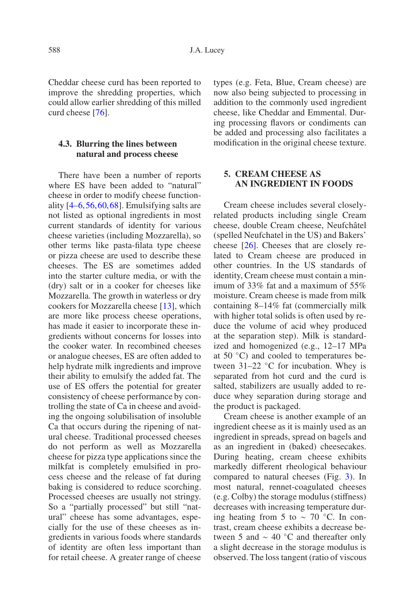Cheddar cheese curd has been reported to improve the shredding properties, which could allow earlier shredding of this milled curd cheese [\[76\]](#page-21-17).

# **4.3. Blurring the lines between natural and process cheese**

There have been a number of reports where ES have been added to "natural" cheese in order to modify cheese functionality [\[4](#page-18-11)[–6](#page-18-12),[56,](#page-20-22)[60](#page-20-23)[,68](#page-21-18)]. Emulsifying salts are not listed as optional ingredients in most current standards of identity for various cheese varieties (including Mozzarella), so other terms like pasta-filata type cheese or pizza cheese are used to describe these cheeses. The ES are sometimes added into the starter culture media, or with the (dry) salt or in a cooker for cheeses like Mozzarella. The growth in waterless or dry cookers for Mozzarella cheese [\[13](#page-18-13)], which are more like process cheese operations, has made it easier to incorporate these ingredients without concerns for losses into the cooker water. In recombined cheeses or analogue cheeses, ES are often added to help hydrate milk ingredients and improve their ability to emulsify the added fat. The use of ES offers the potential for greater consistency of cheese performance by controlling the state of Ca in cheese and avoiding the ongoing solubilisation of insoluble Ca that occurs during the ripening of natural cheese. Traditional processed cheeses do not perform as well as Mozzarella cheese for pizza type applications since the milkfat is completely emulsified in process cheese and the release of fat during baking is considered to reduce scorching. Processed cheeses are usually not stringy. So a "partially processed" but still "natural" cheese has some advantages, especially for the use of these cheeses as ingredients in various foods where standards of identity are often less important than for retail cheese. A greater range of cheese types (e.g. Feta, Blue, Cream cheese) are now also being subjected to processing in addition to the commonly used ingredient cheese, like Cheddar and Emmental. During processing flavors or condiments can be added and processing also facilitates a modification in the original cheese texture.

# **5. CREAM CHEESE AS AN INGREDIENT IN FOODS**

Cream cheese includes several closelyrelated products including single Cream cheese, double Cream cheese, Neufchâtel (spelled Neufchatel in the US) and Bakers' cheese [\[26](#page-19-25)]. Cheeses that are closely related to Cream cheese are produced in other countries. In the US standards of identity, Cream cheese must contain a minimum of 33% fat and a maximum of 55% moisture. Cream cheese is made from milk containing 8–14% fat (commercially milk with higher total solids is often used by reduce the volume of acid whey produced at the separation step). Milk is standardized and homogenized (e.g., 12–17 MPa at  $50^{\circ}$ C) and cooled to temperatures between 31–22 ◦C for incubation. Whey is separated from hot curd and the curd is salted, stabilizers are usually added to reduce whey separation during storage and the product is packaged.

Cream cheese is another example of an ingredient cheese as it is mainly used as an ingredient in spreads, spread on bagels and as an ingredient in (baked) cheesecakes. During heating, cream cheese exhibits markedly different rheological behaviour compared to natural cheeses (Fig. [3\)](#page-16-0). In most natural, rennet-coagulated cheeses (e.g. Colby) the storage modulus (stiffness) decreases with increasing temperature during heating from 5 to  $\sim$  70 °C. In contrast, cream cheese exhibits a decrease between 5 and ∼ 40 ◦C and thereafter only a slight decrease in the storage modulus is observed. The loss tangent (ratio of viscous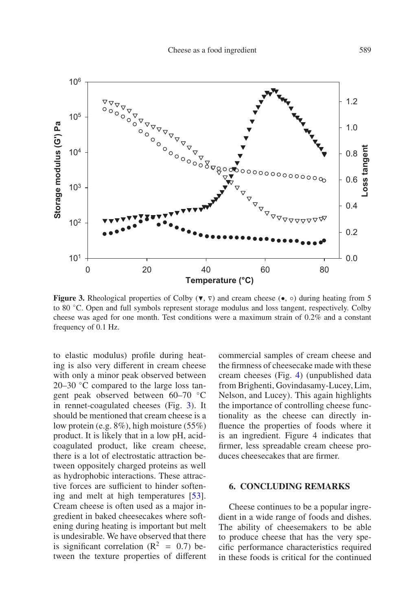<span id="page-16-0"></span>

**Figure 3.** Rheological properties of Colby ( $\nabla$ ,  $\nabla$ ) and cream cheese ( $\bullet$ ,  $\circ$ ) during heating from 5 to 80 ◦C. Open and full symbols represent storage modulus and loss tangent, respectively. Colby cheese was aged for one month. Test conditions were a maximum strain of 0.2% and a constant frequency of 0.1 Hz.

to elastic modulus) profile during heating is also very different in cream cheese with only a minor peak observed between 20–30 ◦C compared to the large loss tangent peak observed between 60–70 ◦C in rennet-coagulated cheeses (Fig. [3\)](#page-16-0). It should be mentioned that cream cheese is a low protein (e.g. 8%), high moisture (55%) product. It is likely that in a low pH, acidcoagulated product, like cream cheese, there is a lot of electrostatic attraction between oppositely charged proteins as well as hydrophobic interactions. These attractive forces are sufficient to hinder softening and melt at high temperatures [\[53\]](#page-20-0). Cream cheese is often used as a major ingredient in baked cheesecakes where softening during heating is important but melt is undesirable. We have observed that there is significant correlation  $(R^2 = 0.7)$  between the texture properties of different commercial samples of cream cheese and the firmness of cheesecake made with these cream cheeses (Fig. [4\)](#page-17-0) (unpublished data from Brighenti, Govindasamy-Lucey, Lim, Nelson, and Lucey). This again highlights the importance of controlling cheese functionality as the cheese can directly influence the properties of foods where it is an ingredient. Figure 4 indicates that firmer, less spreadable cream cheese produces cheesecakes that are firmer.

#### **6. CONCLUDING REMARKS**

Cheese continues to be a popular ingredient in a wide range of foods and dishes. The ability of cheesemakers to be able to produce cheese that has the very specific performance characteristics required in these foods is critical for the continued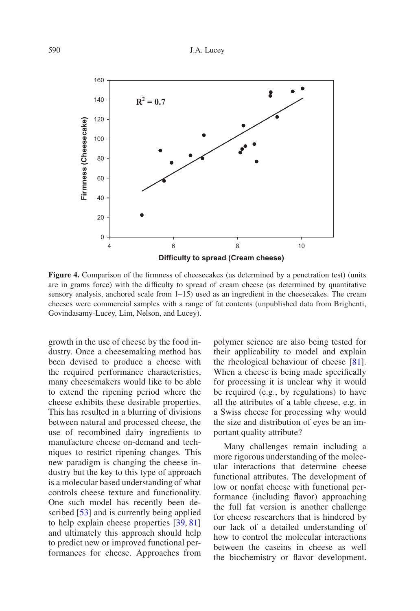<span id="page-17-0"></span>

**Figure 4.** Comparison of the firmness of cheesecakes (as determined by a penetration test) (units are in grams force) with the difficulty to spread of cream cheese (as determined by quantitative sensory analysis, anchored scale from  $1-15$ ) used as an ingredient in the cheesecakes. The cream cheeses were commercial samples with a range of fat contents (unpublished data from Brighenti, Govindasamy-Lucey, Lim, Nelson, and Lucey).

growth in the use of cheese by the food industry. Once a cheesemaking method has been devised to produce a cheese with the required performance characteristics, many cheesemakers would like to be able to extend the ripening period where the cheese exhibits these desirable properties. This has resulted in a blurring of divisions between natural and processed cheese, the use of recombined dairy ingredients to manufacture cheese on-demand and techniques to restrict ripening changes. This new paradigm is changing the cheese industry but the key to this type of approach is a molecular based understanding of what controls cheese texture and functionality. One such model has recently been de-scribed [\[53\]](#page-20-0) and is currently being applied to help explain cheese properties [\[39](#page-19-6), [81\]](#page-21-19) and ultimately this approach should help to predict new or improved functional performances for cheese. Approaches from

polymer science are also being tested for their applicability to model and explain the rheological behaviour of cheese [\[81\]](#page-21-19). When a cheese is being made specifically for processing it is unclear why it would be required (e.g., by regulations) to have all the attributes of a table cheese, e.g. in a Swiss cheese for processing why would the size and distribution of eyes be an important quality attribute?

Many challenges remain including a more rigorous understanding of the molecular interactions that determine cheese functional attributes. The development of low or nonfat cheese with functional performance (including flavor) approaching the full fat version is another challenge for cheese researchers that is hindered by our lack of a detailed understanding of how to control the molecular interactions between the caseins in cheese as well the biochemistry or flavor development.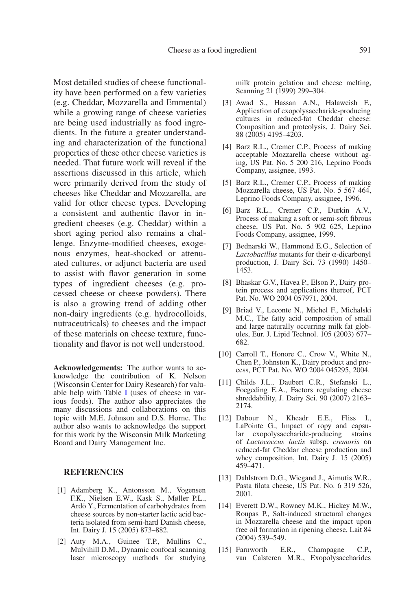Most detailed studies of cheese functionality have been performed on a few varieties (e.g. Cheddar, Mozzarella and Emmental) while a growing range of cheese varieties are being used industrially as food ingredients. In the future a greater understanding and characterization of the functional properties of these other cheese varieties is needed. That future work will reveal if the assertions discussed in this article, which were primarily derived from the study of cheeses like Cheddar and Mozzarella, are valid for other cheese types. Developing a consistent and authentic flavor in ingredient cheeses (e.g. Cheddar) within a short aging period also remains a challenge. Enzyme-modified cheeses, exogenous enzymes, heat-shocked or attenuated cultures, or adjunct bacteria are used to assist with flavor generation in some types of ingredient cheeses (e.g. processed cheese or cheese powders). There is also a growing trend of adding other non-dairy ingredients (e.g. hydrocolloids, nutraceutricals) to cheeses and the impact of these materials on cheese texture, functionality and flavor is not well understood.

**Acknowledgements:** The author wants to acknowledge the contribution of K. Nelson (Wisconsin Center for Dairy Research) for valuable help with Table [I](#page-2-0) (uses of cheese in various foods). The author also appreciates the many discussions and collaborations on this topic with M.E. Johnson and D.S. Horne. The author also wants to acknowledge the support for this work by the Wisconsin Milk Marketing Board and Dairy Management Inc.

#### **REFERENCES**

- <span id="page-18-8"></span>[1] Adamberg K., Antonsson M., Vogensen F.K., Nielsen E.W., Kask S., Møller P.L., Ardö Y., Fermentation of carbohydrates from cheese sources by non-starter lactic acid bacteria isolated from semi-hard Danish cheese, Int. Dairy J. 15 (2005) 873–882.
- <span id="page-18-0"></span>[2] Auty M.A., Guinee T.P., Mullins C., Mulvihill D.M., Dynamic confocal scanning laser microscopy methods for studying

milk protein gelation and cheese melting, Scanning 21 (1999) 299–304.

- <span id="page-18-2"></span>[3] Awad S., Hassan A.N., Halaweish F., Application of exopolysaccharide-producing cultures in reduced-fat Cheddar cheese: Composition and proteolysis, J. Dairy Sci. 88 (2005) 4195–4203.
- <span id="page-18-11"></span>[4] Barz R.L., Cremer C.P., Process of making acceptable Mozzarella cheese without aging, US Pat. No. 5 200 216, Leprino Foods Company, assignee, 1993.
- [5] Barz R.L., Cremer C.P., Process of making Mozzarella cheese, US Pat. No. 5 567 464, Leprino Foods Company, assignee, 1996.
- <span id="page-18-12"></span>[6] Barz R.L., Cremer C.P., Durkin A.V., Process of making a soft or semi-soft fibrous cheese, US Pat. No. 5 902 625, Leprino Foods Company, assignee, 1999.
- <span id="page-18-6"></span>[7] Bednarski W., Hammond E.G., Selection of *Lactobacillus* mutants for their α-dicarbonyl production, J. Dairy Sci. 73 (1990) 1450– 1453.
- <span id="page-18-9"></span>[8] Bhaskar G.V., Havea P., Elson P., Dairy protein process and applications thereof, PCT Pat. No. WO 2004 057971, 2004.
- <span id="page-18-1"></span>[9] Briad V., Leconte N., Michel F., Michalski M.C., The fatty acid composition of small and large naturally occurring milk fat globules, Eur. J. Lipid Technol. 105 (2003) 677– 682.
- <span id="page-18-10"></span>[10] Carroll T., Honore C., Crow V., White N., Chen P., Johnston K., Dairy product and process, PCT Pat. No. WO 2004 045295, 2004.
- <span id="page-18-5"></span>[11] Childs J.L., Daubert C.R., Stefanski L., Foegeding E.A., Factors regulating cheese shreddability, J. Dairy Sci. 90 (2007) 2163– 2174.
- <span id="page-18-3"></span>[12] Dabour N., Kheadr E.E., Fliss I., LaPointe G., Impact of ropy and capsular exopolysaccharide-producing strains of *Lactococcus lactis* subsp. *cremoris* on reduced-fat Cheddar cheese production and whey composition, Int. Dairy J. 15 (2005) 459–471.
- <span id="page-18-13"></span>[13] Dahlstrom D.G., Wiegand J., Aimutis W.R., Pasta filata cheese, US Pat. No. 6 319 526, 2001.
- <span id="page-18-7"></span>[14] Everett D.W., Rowney M.K., Hickey M.W., Roupas P., Salt-induced structural changes in Mozzarella cheese and the impact upon free oil formation in ripening cheese, Lait 84 (2004) 539–549.
- <span id="page-18-4"></span>[15] Farnworth E.R., Champagne C.P., van Calsteren M.R., Exopolysaccharides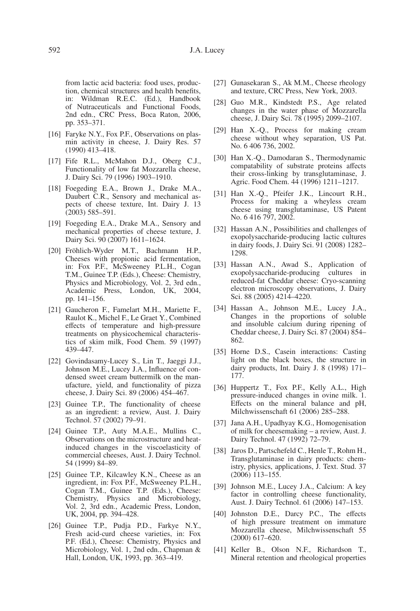from lactic acid bacteria: food uses, production, chemical structures and health benefits, in: Wildman R.E.C. (Ed.), Handbook of Nutraceuticals and Functional Foods, 2nd edn., CRC Press, Boca Raton, 2006, pp. 353–371.

- <span id="page-19-19"></span>[16] Faryke N.Y., Fox P.F., Observations on plasmin activity in cheese, J. Dairy Res. 57 (1990) 413–418.
- <span id="page-19-7"></span>[17] Fife R.L., McMahon D.J., Oberg C.J., Functionality of low fat Mozzarella cheese, J. Dairy Sci. 79 (1996) 1903–1910.
- <span id="page-19-1"></span>[18] Foegeding E.A., Brown J., Drake M.A., Daubert C.R., Sensory and mechanical aspects of cheese texture, Int. Dairy J. 13 (2003) 585–591.
- <span id="page-19-2"></span>[19] Foegeding E.A., Drake M.A., Sensory and mechanical properties of cheese texture, J. Dairy Sci. 90 (2007) 1611–1624.
- <span id="page-19-20"></span>[20] Fröhlich-Wyder M.T., Bachmann H.P., Cheeses with propionic acid fermentation, in: Fox P.F., McSweeney P.L.H., Cogan T.M., Guinee T.P. (Eds.), Cheese: Chemistry, Physics and Microbiology, Vol. 2, 3rd edn., Academic Press, London, UK, 2004, pp. 141–156.
- <span id="page-19-23"></span>[21] Gaucheron F., Famelart M.H., Mariette F., Raulot K., Michel F., Le Graet Y., Combined effects of temperature and high-pressure treatments on physicochemical characteristics of skim milk, Food Chem. 59 (1997) 439–447.
- <span id="page-19-10"></span>[22] Govindasamy-Lucey S., Lin T., Jaeggi J.J., Johnson M.E., Lucey J.A., Influence of condensed sweet cream buttermilk on the manufacture, yield, and functionality of pizza cheese, J. Dairy Sci. 89 (2006) 454–467.
- <span id="page-19-4"></span>[23] Guinee T.P., The functionality of cheese as an ingredient: a review, Aust. J. Dairy Technol. 57 (2002) 79–91.
- <span id="page-19-9"></span>[24] Guinee T.P., Auty M.A.E., Mullins C., Observations on the microstructure and heatinduced changes in the viscoelasticity of commercial cheeses, Aust. J. Dairy Technol. 54 (1999) 84–89.
- <span id="page-19-5"></span>[25] Guinee T.P., Kilcawley K.N., Cheese as an ingredient, in: Fox P.F., McSweeney P.L.H., Cogan T.M., Guinee T.P. (Eds.), Cheese: Chemistry, Physics and Microbiology, Vol. 2, 3rd edn., Academic Press, London, UK, 2004, pp. 394–428.
- <span id="page-19-25"></span>[26] Guinee T.P., Pudja P.D., Farkye N.Y., Fresh acid-curd cheese varieties, in: Fox P.F. (Ed.), Cheese: Chemistry, Physics and Microbiology, Vol. 1, 2nd edn., Chapman & Hall, London, UK, 1993, pp. 363–419.
- <span id="page-19-3"></span>[27] Gunasekaran S., Ak M.M., Cheese rheology and texture, CRC Press, New York, 2003.
- <span id="page-19-18"></span>[28] Guo M.R., Kindstedt P.S., Age related changes in the water phase of Mozzarella cheese, J. Dairy Sci. 78 (1995) 2099–2107.
- <span id="page-19-21"></span>[29] Han X.-Q., Process for making cream cheese without whey separation, US Pat. No. 6 406 736, 2002.
- <span id="page-19-15"></span>[30] Han X.-O., Damodaran S., Thermodynamic compatability of substrate proteins affects their cross-linking by transglutaminase, J. Agric. Food Chem. 44 (1996) 1211–1217.
- <span id="page-19-16"></span>[31] Han X.-O., Pfeifer J.K., Lincourt R.H., Process for making a wheyless cream cheese using transglutaminase, US Patent No. 6 416 797, 2002.
- <span id="page-19-12"></span>[32] Hassan A.N., Possibilities and challenges of exopolysaccharide-producing lactic cultures in dairy foods, J. Dairy Sci. 91 (2008) 1282– 1298.
- <span id="page-19-13"></span>[33] Hassan A.N., Awad S., Application of exonolysaccharide-producing cultures in exopolysaccharide-producing cultures reduced-fat Cheddar cheese: Cryo-scanning electron microscopy observations, J. Dairy Sci. 88 (2005) 4214–4220.
- <span id="page-19-17"></span>[34] Hassan A., Johnson M.E., Lucey J.A., Changes in the proportions of soluble and insoluble calcium during ripening of Cheddar cheese, J. Dairy Sci. 87 (2004) 854– 862.
- <span id="page-19-0"></span>[35] Horne D.S., Casein interactions: Casting light on the black boxes, the structure in dairy products, Int. Dairy J. 8 (1998) 171– 177.
- <span id="page-19-24"></span>[36] Huppertz T., Fox P.F., Kelly A.L., High pressure-induced changes in ovine milk. 1. Effects on the mineral balance and pH, Milchwissenschaft 61 (2006) 285–288.
- <span id="page-19-11"></span>[37] Jana A.H., Upadhyay K.G., Homogenisation of milk for cheesemaking – a review, Aust. J. Dairy Technol. 47 (1992) 72–79.
- <span id="page-19-14"></span>[38] Jaros D., Partschefeld C., Henle T., Rohm H., Transglutaminase in dairy products: chemistry, physics, applications, J. Text. Stud. 37 (2006) 113–155.
- <span id="page-19-6"></span>[39] Johnson M.E., Lucey J.A., Calcium: A key factor in controlling cheese functionality, Aust. J. Dairy Technol. 61 (2006) 147–153.
- <span id="page-19-22"></span>[40] Johnston D.E., Darcy P.C., The effects of high pressure treatment on immature Mozzarella cheese, Milchwissenschaft 55 (2000) 617–620.
- <span id="page-19-8"></span>[41] Keller B., Olson N.F., Richardson T., Mineral retention and rheological properties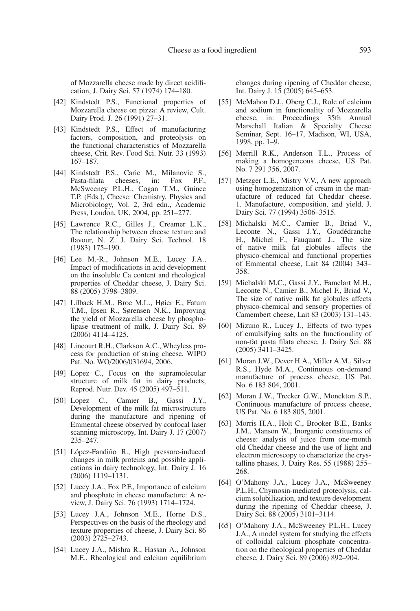of Mozzarella cheese made by direct acidification, J. Dairy Sci. 57 (1974) 174–180.

- <span id="page-20-1"></span>[42] Kindstedt P.S., Functional properties of Mozzarella cheese on pizza: A review, Cult. Dairy Prod. J. 26 (1991) 27–31.
- <span id="page-20-9"></span>[43] Kindstedt P.S., Effect of manufacturing factors, composition, and proteolysis on the functional characteristics of Mozzarella cheese, Crit. Rev. Food Sci. Nutr. 33 (1993) 167–187.
- <span id="page-20-2"></span>[44] Kindstedt P.S., Caric M., Milanovic S., Pasta-filata McSweeney P.L.H., Cogan T.M., Guinee T.P. (Eds.), Cheese: Chemistry, Physics and Microbiology, Vol. 2, 3rd edn., Academic Press, London, UK, 2004, pp. 251–277.
- <span id="page-20-12"></span>[45] Lawrence R.C., Gilles J., Creamer L.K., The relationship between cheese texture and flavour, N. Z. J. Dairy Sci. Technol. 18 (1983) 175–190.
- <span id="page-20-14"></span>[46] Lee M.-R., Johnson M.E., Lucey J.A., Impact of modifications in acid development on the insoluble Ca content and rheological properties of Cheddar cheese, J. Dairy Sci. 88 (2005) 3798–3809.
- <span id="page-20-10"></span>[47] Lilbaek H.M., Broe M.L., Høier E., Fatum T.M., Ipsen R., Sørensen N.K., Improving the yield of Mozzarella cheese by phospholipase treatment of milk, J. Dairy Sci. 89 (2006) 4114–4125.
- <span id="page-20-20"></span>[48] Lincourt R.H., Clarkson A.C., Wheyless process for production of string cheese, WIPO Pat. No. WO/2006/031694, 2006.
- <span id="page-20-8"></span>[49] Lopez C., Focus on the supramolecular structure of milk fat in dairy products, Reprod. Nutr. Dev. 45 (2005) 497–511.
- <span id="page-20-7"></span>[50] Lopez C., Camier B., Gassi J.Y., Development of the milk fat microstructure during the manufacture and ripening of Emmental cheese observed by confocal laser scanning microscopy, Int. Dairy J. 17 (2007) 235–247.
- <span id="page-20-21"></span>[51] López-Fandiño R., High pressure-induced changes in milk proteins and possible applications in dairy technology, Int. Dairy J. 16 (2006) 1119–1131.
- <span id="page-20-3"></span>[52] Lucey J.A., Fox P.F., Importance of calcium and phosphate in cheese manufacture: A review, J. Dairy Sci. 76 (1993) 1714–1724.
- <span id="page-20-0"></span>[53] Lucey J.A., Johnson M.E., Horne D.S., Perspectives on the basis of the rheology and texture properties of cheese, J. Dairy Sci. 86 (2003) 2725–2743.
- <span id="page-20-16"></span>[54] Lucey J.A., Mishra R., Hassan A., Johnson M.E., Rheological and calcium equilibrium

changes during ripening of Cheddar cheese, Int. Dairy J. 15 (2005) 645–653.

- <span id="page-20-11"></span>[55] McMahon D.J., Oberg C.J., Role of calcium and sodium in functionality of Mozzarella cheese, in: Proceedings 35th Annual Marschall Italian & Specialty Cheese Seminar, Sept. 16–17, Madison, WI, USA, 1998, pp. 1–9.
- <span id="page-20-22"></span>[56] Merrill R.K., Anderson T.L., Process of making a homogeneous cheese, US Pat. No. 7 291 356, 2007.
- <span id="page-20-4"></span>[57] Metzger L.E., Mistry V.V., A new approach using homogenization of cream in the manufacture of reduced fat Cheddar cheese. 1. Manufacture, composition, and yield, J. Dairy Sci. 77 (1994) 3506–3515.
- <span id="page-20-5"></span>[58] Michalski M.C., Camier B., Briad V., Leconte N., Gassi J.Y., Goudédranche H., Michel F., Fauquant J., The size of native milk fat globules affects the physico-chemical and functional properties of Emmental cheese, Lait 84 (2004) 343– 358.
- <span id="page-20-6"></span>[59] Michalski M.C., Gassi J.Y., Famelart M.H., Leconte N., Camier B., Michel F., Briad V., The size of native milk fat globules affects physico-chemical and sensory properties of Camembert cheese, Lait 83 (2003) 131–143.
- <span id="page-20-23"></span>[60] Mizuno R., Lucey J., Effects of two types of emulsifying salts on the functionality of non-fat pasta filata cheese, J. Dairy Sci. 88 (2005) 3411–3425.
- <span id="page-20-18"></span>[61] Moran J.W., Dever H.A., Miller A.M., Silver R.S., Hyde M.A., Continuous on-demand manufacture of process cheese, US Pat. No. 6 183 804, 2001.
- <span id="page-20-19"></span>[62] Moran J.W., Trecker G.W., Monckton S.P., Continuous manufacture of process cheese, US Pat. No. 6 183 805, 2001.
- <span id="page-20-13"></span>[63] Morris H.A., Holt C., Brooker B.E., Banks J.M., Manson W., Inorganic constituents of cheese: analysis of juice from one-month old Cheddar cheese and the use of light and electron microscopy to characterize the crystalline phases, J. Dairy Res. 55 (1988) 255– 268.
- <span id="page-20-17"></span>[64] O'Mahony J.A., Lucey J.A., McSweeney P.L.H., Chymosin-mediated proteolysis, calcium solubilization, and texture development during the ripening of Cheddar cheese, J. Dairy Sci. 88 (2005) 3101–3114.
- <span id="page-20-15"></span>[65] O'Mahony J.A., McSweeney P.L.H., Lucey J.A., A model system for studying the effects of colloidal calcium phosphate concentration on the rheological properties of Cheddar cheese, J. Dairy Sci. 89 (2006) 892–904.